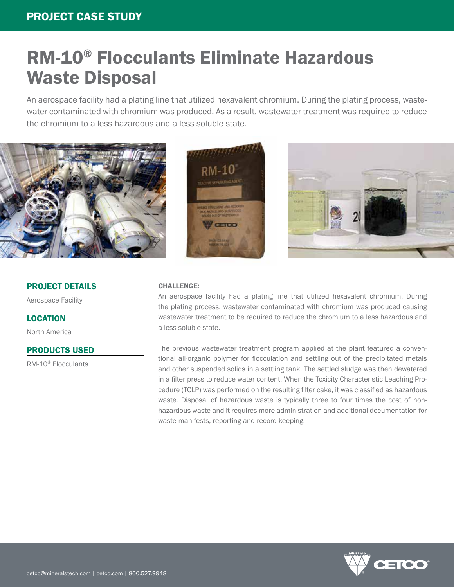# RM-10® Flocculants Eliminate Hazardous Waste Disposal

An aerospace facility had a plating line that utilized hexavalent chromium. During the plating process, wastewater contaminated with chromium was produced. As a result, wastewater treatment was required to reduce the chromium to a less hazardous and a less soluble state.



# PROJECT DETAILS

Aerospace Facility

# LOCATION

North America

# PRODUCTS USED

RM-10® Flocculants





#### CHALLENGE:

An aerospace facility had a plating line that utilized hexavalent chromium. During the plating process, wastewater contaminated with chromium was produced causing wastewater treatment to be required to reduce the chromium to a less hazardous and a less soluble state.

The previous wastewater treatment program applied at the plant featured a conventional all-organic polymer for flocculation and settling out of the precipitated metals and other suspended solids in a settling tank. The settled sludge was then dewatered in a filter press to reduce water content. When the Toxicity Characteristic Leaching Procedure (TCLP) was performed on the resulting filter cake, it was classified as hazardous waste. Disposal of hazardous waste is typically three to four times the cost of nonhazardous waste and it requires more administration and additional documentation for waste manifests, reporting and record keeping.